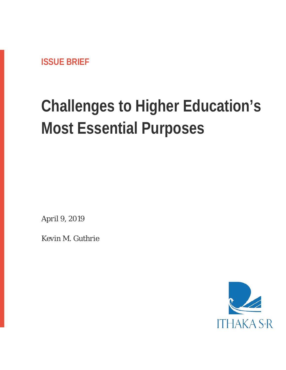**ISSUE BRIEF**

# **Challenges to Higher Education's Most Essential Purposes**

*April 9, 2019*

*Kevin M. Guthrie*

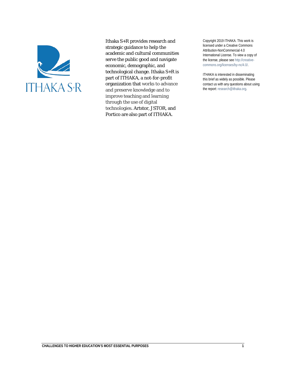

Ithaka S+R provides research and strategic guidance to help the academic and cultural communities serve the public good and navigate economic, demographic, and technological change. Ithaka S+R is part of ITHAKA, a not-for-profit organization that works to advance and preserve knowledge and to improve teaching and learning through the use of digital technologies. Artstor, JSTOR, and Portico are also part of ITHAKA.

Copyright 2019 ITHAKA. This work is licensed under a Creative Commons Attribution-NonCommercial 4.0 International License. To view a copy of the license, please see http://creativecommons.org/licenses/by-nc/4.0/.

ITHAKA is interested in disseminating this brief as widely as possible. Please contact us with any questions about using the report: research@ithaka.org.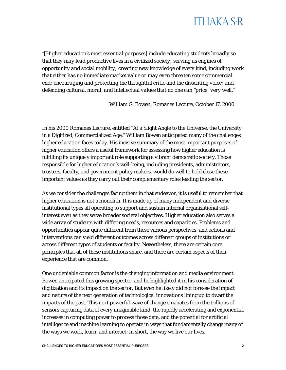# **ITHAKA S-R**

*"[Higher education's most essential purposes] include educating students broadly so that they may lead productive lives in a civilized society; serving as engines of opportunity and social mobility; creating new knowledge of every kind, including work that either has no immediate market value or may even threaten some commercial end; encouraging and protecting the thoughtful critic and the dissenting voice; and defending cultural, moral, and intellectual values that no one can "price" very well."*

William G. Bowen, Romanes Lecture, October 17, 2000

In his 2000 Romanes Lecture, entitled "At a Slight Angle to the Universe, the University in a Digitized, Commercialized Age," William Bowen anticipated many of the challenges higher education faces today. His incisive summary of the most important purposes of higher education offers a useful framework for assessing how higher education is fulfilling its uniquely important role supporting a vibrant democratic society. Those responsible for higher education's well-being, including presidents, administrators, trustees, faculty, and government policy makers, would do well to hold close these important values as they carry out their complementary roles leading the sector.

As we consider the challenges facing them in that endeavor, it is useful to remember that higher education is not a monolith. It is made up of many independent and diverse institutional types all operating to support and sustain internal organizational selfinterest even as they serve broader societal objectives. Higher education also serves a wide array of students with differing needs, resources and capacities. Problems and opportunities appear quite different from these various perspectives, and actions and interventions can yield different outcomes across different groups of institutions or across different types of students or faculty. Nevertheless, there are certain core principles that all of these institutions share, and there are certain aspects of their experience that are common.

One undeniable common factor is the changing information and media environment. Bowen anticipated this growing specter, and he highlighted it in his consideration of digitization and its impact on the sector. But even he likely did not foresee the impact and nature of the next generation of technological innovations lining up to dwarf the impacts of the past. This next powerful wave of change emanates from the trillions of sensors capturing data of every imaginable kind, the rapidly accelerating and exponential increases in computing power to process those data, and the potential for artificial intelligence and machine learning to operate in ways that fundamentally change many of the ways we work, learn, and interact; in short, the way we live our lives.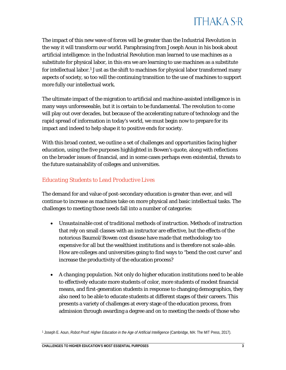

The impact of this new wave of forces will be greater than the Industrial Revolution in the way it will transform our world. Paraphrasing from Joseph Aoun in his book about artificial intelligence: in the Industrial Revolution man learned to use machines as a substitute for physical labor, in this era we are learning to use machines as a substitute for intellectual labor.<sup>[1](#page-3-0)</sup> Just as the shift to machines for physical labor transformed many aspects of society, so too will the continuing transition to the use of machines to support more fully our intellectual work.

The ultimate impact of the migration to artificial and machine-assisted intelligence is in many ways unforeseeable, but it is certain to be fundamental. The revolution to come will play out over decades, but because of the accelerating nature of technology and the rapid spread of information in today's world, we must begin now to prepare for its impact and indeed to help shape it to positive ends for society.

With this broad context, we outline a set of challenges and opportunities facing higher education, using the five purposes highlighted in Bowen's quote, along with reflections on the broader issues of financial, and in some cases perhaps even existential, threats to the future sustainability of colleges and universities.

#### *Educating Students to Lead Productive Lives*

The demand for and value of post-secondary education is greater than ever, and will continue to increase as machines take on more physical and basic intellectual tasks. The challenges to meeting those needs fall into a number of categories:

- *Unsustainable cost of traditional methods of instruction*. Methods of instruction that rely on small classes with an instructor are effective, but the effects of the notorious Baumol/Bowen cost disease have made that methodology too expensive for all but the wealthiest institutions and is therefore not scale-able. How are colleges and universities going to find ways to "bend the cost curve" and increase the productivity of the education process?
- *A changing population*. Not only do higher education institutions need to be able to effectively educate more students of color, more students of modest financial means, and first-generation students in response to changing demographics, they also need to be able to educate students at different stages of their careers. This presents a variety of challenges at every stage of the education process, from admission through awarding a degree and on to meeting the needs of those who

<span id="page-3-0"></span><sup>1</sup> Joseph E. Aoun, *Robot Proof: Higher Education in the Age of Artificial Intelligence* (Cambridge, MA: The MIT Press, 2017).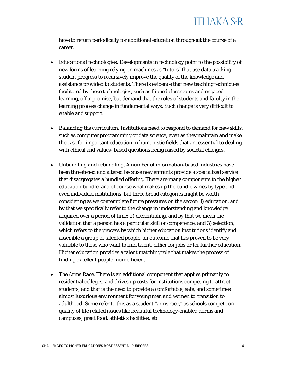

have to return periodically for additional education throughout the course of a career.

- *Educational technologies*. Developments in technology point to the possibility of new forms of learning relying on machines as "tutors" that use data tracking student progress to recursively improve the quality of the knowledge and assistance provided to students. There is evidence that new teaching techniques facilitated by these technologies, such as flipped classrooms and engaged learning, offer promise, but demand that the roles of students and faculty in the learning process change in fundamental ways. Such change is very difficult to enable and support.
- *Balancing the curriculum*. Institutions need to respond to demand for new skills, such as computer programming or data science, even as they maintain and make the case for important education in humanistic fields that are essential to dealing with ethical and values- based questions being raised by societal changes.
- *Unbundling and rebundling*. A number of information-based industries have been threatened and altered because new entrants provide a specialized service that disaggregates a bundled offering. There are many components to the higher education bundle, and of course what makes up the bundle varies by type and even individual institutions, but three broad categories might be worth considering as we contemplate future pressures on the sector: 1) education, and by that we specifically refer to the change in understanding and knowledge acquired over a period of time; 2) credentialing, and by that we mean the validation that a person has a particular skill or competence; and 3) selection, which refers to the process by which higher education institutions identify and assemble a group of talented people, an outcome that has proven to be very valuable to those who want to find talent, either for jobs or for further education. Higher education provides a talent matching role that makes the process of finding excellent people more efficient.
- *The Arms Race.* There is an additional component that applies primarily to residential colleges, and drives up costs for institutions competing to attract students, and that is the need to provide a comfortable, safe, and sometimes almost luxurious environment for young men and women to transition to adulthood. Some refer to this as a student "arms race," as schools compete on quality of life related issues like beautiful technology-enabled dorms and campuses, great food, athletics facilities, etc.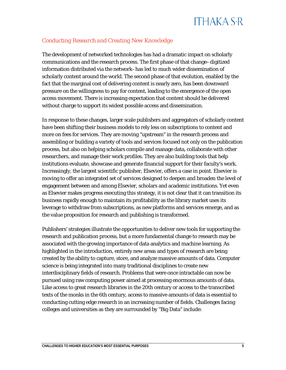# **ITHAKA S-R**

### *Conducting Research and Creating New Knowledge*

The development of networked technologies has had a dramatic impact on scholarly communications and the research process. The first phase of that change–digitized information distributed via the network–has led to much wider dissemination of scholarly content around the world. The second phase of that evolution, enabled by the fact that the marginal cost of delivering content is nearly zero, has been downward pressure on the willingness to pay for content, leading to the emergence of the open access movement. There is increasing expectation that content should be delivered without charge to support its widest possible access and dissemination.

In response to these changes, larger scale publishers and aggregators of scholarly content have been shifting their business models to rely less on subscriptions to content and more on fees for services. They are moving "upstream" in the research process and assembling or building a variety of tools and services focused not only on the publication process, but also on helping scholars compile and manage data, collaborate with other researchers, and manage their work profiles. They are also building tools that help institutions evaluate, showcase and generate financial support for their faculty's work. Increasingly, the largest scientific publisher, Elsevier, offers a case in point. Elsevier is moving to offer an integrated set of services designed to deepen and broaden the level of engagement between and among Elsevier, scholars and academic institutions. Yet even as Elsevier makes progress executing this strategy, it is not clear that it can transition its business rapidly enough to maintain its profitability as the library market uses its leverage to withdraw from subscriptions, as new platforms and services emerge, and as the value proposition for research and publishing is transformed.

Publishers' strategies illustrate the opportunities to deliver new tools for supporting the research and publication process, but a more fundamental change to research may be associated with the growing importance of data analytics and machine learning. As highlighted in the introduction, entirely new areas and types of research are being created by the ability to capture, store, and analyze massive amounts of data. Computer science is being integrated into many traditional disciplines to create new interdisciplinary fields of research. Problems that were once intractable can now be pursued using raw computing power aimed at processing enormous amounts of data. Like access to great research libraries in the 20th century or access to the transcribed texts of the monks in the 6th century, access to massive amounts of data is essential to conducting cutting edge research in an increasing number of fields. Challenges facing colleges and universities as they are surrounded by "Big Data" include: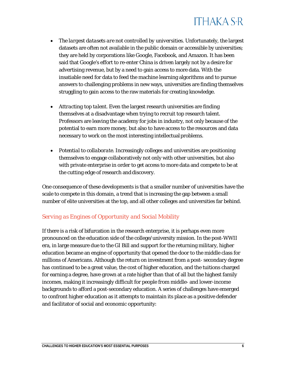

- *The largest datasets are not controlled by universities.* Unfortunately, the largest datasets are often not available in the public domain or accessible by universities; they are held by corporations like Google, Facebook, and Amazon. It has been said that Google's effort to re-enter China is driven largely not by a desire for advertising revenue, but by a need to gain access to more data. With the insatiable need for data to feed the machine learning algorithms and to pursue answers to challenging problems in new ways, universities are finding themselves struggling to gain access to the raw materials for creating knowledge.
- *Attracting top talent*. Even the largest research universities are finding themselves at a disadvantage when trying to recruit top research talent. Professors are leaving the academy for jobs in industry, not only because of the potential to earn more money, but also to have access to the resources and data necessary to work on the most interesting intellectual problems.
- *Potential to collaborate*. Increasingly colleges and universities are positioning themselves to engage collaboratively not only with other universities, but also with private enterprise in order to get access to more data and compete to be at the cutting edge of research and discovery.

One consequence of these developments is that a smaller number of universities have the scale to compete in this domain, a trend that is increasing the gap between a small number of elite universities at the top, and all other colleges and universities far behind.

#### *Serving as Engines of Opportunity and Social Mobility*

If there is a risk of bifurcation in the research enterprise, it is perhaps even more pronounced on the education side of the college/university mission. In the post-WWII era, in large measure due to the GI Bill and support for the returning military, higher education became an engine of opportunity that opened the door to the middle class for millions of Americans. Although the return on investment from a post- secondary degree has continued to be a great value, the cost of higher education, and the tuitions charged for earning a degree, have grown at a rate higher than that of all but the highest family incomes, making it increasingly difficult for people from middle- and lower-income backgrounds to afford a post-secondary education. A series of challenges have emerged to confront higher education as it attempts to maintain its place as a positive defender and facilitator of social and economic opportunity: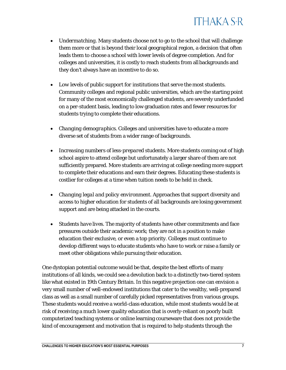

- *Undermatching*. Many students choose not to go to the school that will challenge them more or that is beyond their local geographical region, a decision that often leads them to choose a school with lower levels of degree completion. And for colleges and universities, it is costly to reach students from allbackgrounds and they don't always have an incentive to do so.
- *Low levels of public support for institutions that serve the most students.*  Community colleges and regional public universities, which are the starting point for many of the most economically challenged students, are severely underfunded on a per-student basis, leading to low graduation rates and fewer resources for students trying to complete their educations.
- *Changing demographics*. Colleges and universities have to educate a more diverse set of students from a wider range of backgrounds.
- *Increasing numbers of less-prepared students*. More students coming out of high school aspire to attend college but unfortunately a larger share of them are not sufficiently prepared. More students are arriving at college needing more support to complete their educations and earn their degrees. Educating these students is costlier for colleges at a time when tuition needs to be held in check.
- *Changing legal and policy environment*. Approaches that support diversity and access to higher education for students of all backgrounds are losing government support and are being attacked in the courts.
- *Students have lives*. The majority of students have other commitments and face pressures outside their academic work; they are not in a position to make education their exclusive, or even a top priority. Colleges must continue to develop different ways to educate students who have to work or raise a family or meet other obligations while pursuing their education.

One dystopian potential outcome would be that, despite the best efforts of many institutions of all kinds, we could see a devolution back to a distinctly two-tiered system like what existed in 19th Century Britain. In this negative projection one can envision a very small number of well-endowed institutions that cater to the wealthy, well-prepared class as well as a small number of carefully picked representatives from various groups. These students would receive a world-class education, while most students would be at risk of receiving a much lower quality education that is overly-reliant on poorly built computerized teaching systems or online learning courseware that does not provide the kind of encouragement and motivation that is required to help students through the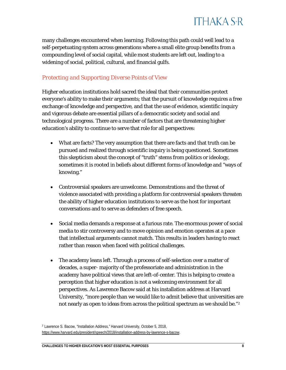

many challenges encountered when learning. Following this path could well lead to a self-perpetuating system across generations where a small elite group benefits from a compounding level of social capital, while most students are left out, leading to a widening of social, political, cultural, and financial gulfs.

#### *Protecting and Supporting Diverse Points of View*

Higher education institutions hold sacred the ideal that their communities protect everyone's ability to make their arguments; that the pursuit of knowledge requires a free exchange of knowledge and perspective, and that the use of evidence, scientific inquiry and vigorous debate are essential pillars of a democratic society and social and technological progress. There are a number of factors that are threatening higher education's ability to continue to serve that role for all perspectives:

- What are facts? The very assumption that there are facts and that truth can be pursued and realized through scientific inquiry is being questioned. Sometimes this skepticism about the concept of "truth" stems from politics or ideology, sometimes it is rooted in beliefs about different forms of knowledge and "ways of knowing."
- Controversial speakers are unwelcome. Demonstrations and the threat of violence associated with providing a platform for controversial speakers threaten the ability of higher education institutions to serve as the host for important conversations and to serve as defenders of free speech.
- Social media demands a response at a furious rate. The enormous power of social media to stir controversy and to move opinion and emotion operates at a pace that intellectual arguments cannot match. This results in leaders having to react rather than reason when faced with political challenges.
- The academy leans left. Through a process of self-selection over a matter of decades, a super- majority of the professoriate and administration in the academy have political views that are left-of-center. This is helping to create a perception that higher education is not a welcoming environment for all perspectives. As Lawrence Bacow said at his installation address at Harvard University, "more people than we would like to admit believe that universities are not nearly as open to ideas from across the political spectrum as we should be."<sup>[2](#page-8-0)</sup>

<span id="page-8-0"></span><sup>2</sup> Lawrence S. Bacow, "Installation Address," Harvard University, October 5, 2018, [https://www.harvard.edu/president/speech/2018/installation-address-by-lawrence-s-bacow.](https://www.harvard.edu/president/speech/2018/installation-address-by-lawrence-s-bacow)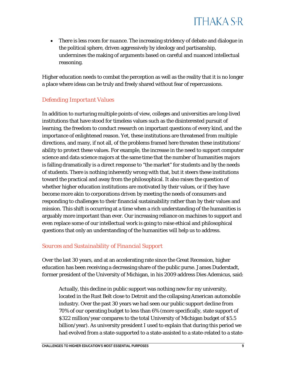• *There is less room for nuance*. The increasing stridency of debate and dialogue in the political sphere, driven aggressively by ideology and partisanship, undermines the making of arguments based on careful and nuanced intellectual reasoning.

Higher education needs to combat the perception as well as the reality that it is no longer a place where ideas can be truly and freely shared without fear of repercussions.

### *Defending Important Values*

In addition to nurturing multiple points of view, colleges and universities are long-lived institutions that have stood for timeless values such as the disinterested pursuit of learning, the freedom to conduct research on important questions of every kind, and the importance of enlightened reason. Yet, these institutions are threatened from multiple directions, and many, if not all, of the problems framed here threaten these institutions' ability to protect these values. For example, the increase in the need to support computer science and data science majors at the same time that the number of humanities majors is falling dramatically is a direct response to "the market" for students and by the needs of students. There is nothing inherently wrong with that, but it steers these institutions toward the practical and away from the philosophical. It also raises the question of whether higher education institutions are motivated by their values, or if they have become more akin to corporations driven by meeting the needs of consumers and responding to challenges to their financial sustainability rather than by their values and mission. This shift is occurring at a time when a rich understanding of the humanities is arguably more important than ever. Our increasing reliance on machines to support and even replace some of our intellectual work is going to raise ethical and philosophical questions that only an understanding of the humanities will help us to address.

### *Sources and Sustainability of Financial Support*

Over the last 30 years, and at an accelerating rate since the Great Recession, higher education has been receiving a decreasing share of the public purse. James Duderstadt, former president of the University of Michigan, in his 2009 address Dies Ademicus, said:

Actually, this decline in public support was nothing new for my university, located in the Rust Belt close to Detroit and the collapsing American automobile industry. Over the past 30 years we had seen our public support decline from 70% of our operating budget to less than 6% (more specifically, state support of \$322 million/year compares to the total University of Michigan budget of \$5.5 billion/year). As university president I used to explain that during this period we had evolved from a state-supported to a state-assisted to a state-related to a state-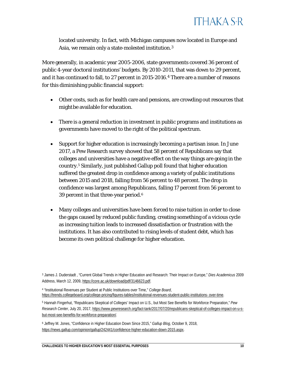

located university. In fact, with Michigan campuses now located in Europe and Asia, we remain only a state-molested institution.[3](#page-10-0)

More generally, in academic year 2005-2006, state governments covered 36 percent of public 4-year doctoral institutions' budgets. By 2010-2011, that was down to 29 percent, and it has continued to fall, to 27 percent in 2015-2016.<sup>[4](#page-10-1)</sup> [T](#page-11-0)here are a number of reasons for this diminishing public financial support:

- Other costs, such as for health care and pensions, are crowding out resources that might be available for education.
- There is a general reduction in investment in public programs and institutions as governments have moved to the right of the political spectrum.
- Support for higher education is increasingly becoming a partisan issue. In June 2017, a Pew Research survey showed that 58 percent of Republicans say that colleges and universities have a negative effect on the way things are going in the country.[5](#page-10-2) Similarly, just published Gallup poll found that higher education suffered the greatest drop in confidence among a variety of public institutions between 2015 and 2018, falling from 56 percent to 48 percent. The drop in confidence was largest among Republicans, falling 17 percent from 56 percent to 39 percent in that three-year period.[6](#page-10-3)
- Many colleges and universities have been forced to raise tuition in order to close the gaps caused by reduced public funding, creating something of a vicious cycle as increasing tuition leads to increased dissatisfaction or frustration with the institutions. It has also contributed to rising levels of student debt, which has become its own political challenge for higher education.

<span id="page-10-3"></span><sup>6</sup> Jeffrey M. Jones, "Confidence in Higher Education Down Since 2015," *Gallup Blog*, October 9, 2018, [https://news.gallup.com/opinion/gallup/242441/confidence-higher-education-down-2015.aspx.](https://news.gallup.com/opinion/gallup/242441/confidence-higher-education-down-2015.aspx)

<span id="page-10-0"></span><sup>3</sup> James J. Duderstadt , "Current Global Trends in Higher Education and Research: Their Impact on Europe," *Dies Academicus* 2009 Address, March 12, 2009[, https://core.ac.uk/download/pdf/3146623.pdf.](https://core.ac.uk/download/pdf/3146623.pdf)

<span id="page-10-1"></span><sup>4</sup> "Institutional Revenues per Student at Public Institutions over Time," *College Board*, [https://trends.collegeboard.org/college-pricing/figures-tables/institutional-revenues-student-public-institutions-](https://trends.collegeboard.org/college-pricing/figures-tables/institutional-revenues-student-public-institutions-over-time) [over-time.](https://trends.collegeboard.org/college-pricing/figures-tables/institutional-revenues-student-public-institutions-over-time)

<span id="page-10-2"></span><sup>5</sup> Hannah Fingerhut, "Republicans Skeptical of Colleges' Impact on U.S., but Most See Benefits for Workforce Preparation," *Pew Research Center*, July 20, 2017, [https://www.pewresearch.org/fact-tank/2017/07/20/republicans-skeptical-of-colleges-impact-on-u-s](https://www.pewresearch.org/fact-tank/2017/07/20/republicans-skeptical-of-colleges-impact-on-u-s-but-most-see-benefits-for-workforce-preparation/)[but-most-see-benefits-for-workforce-preparation/.](https://www.pewresearch.org/fact-tank/2017/07/20/republicans-skeptical-of-colleges-impact-on-u-s-but-most-see-benefits-for-workforce-preparation/)